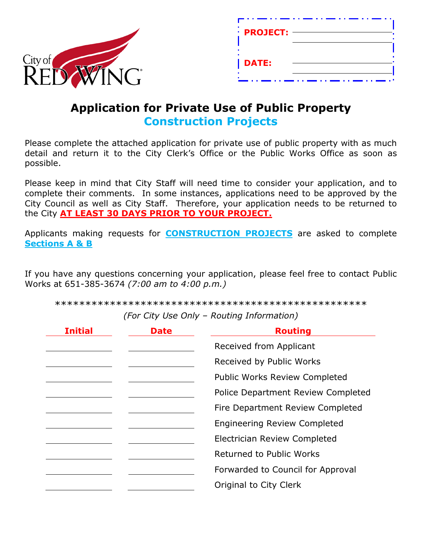

| $\cdot$ PROJECT: |  |
|------------------|--|
| <b>DATE:</b>     |  |

# **Application for Private Use of Public Property Construction Projects**

Please complete the attached application for private use of public property with as much detail and return it to the City Clerk's Office or the Public Works Office as soon as possible.

Please keep in mind that City Staff will need time to consider your application, and to complete their comments. In some instances, applications need to be approved by the City Council as well as City Staff. Therefore, your application needs to be returned to the City **AT LEAST 30 DAYS PRIOR TO YOUR PROJECT.**

Applicants making requests for **CONSTRUCTION PROJECTS** are asked to complete **Sections A & B** 

If you have any questions concerning your application, please feel free to contact Public Works at 651-385-3674 *(7:00 am to 4:00 p.m.)*

\*\*\*\*\*\*\*\*\*\*\*\*\*\*\*\*\*\*\*\*\*\*\*\*\*\*\*\*\*\*\*\*\*\*\*\*\*\*\*\*\*\*\*\*\*\*\*\*\*\*\*

*(For City Use Only – Routing Information)*

| <b>Initial</b> | Date | <b>Routing</b>                       |  |
|----------------|------|--------------------------------------|--|
|                |      | Received from Applicant              |  |
|                |      | Received by Public Works             |  |
|                |      | <b>Public Works Review Completed</b> |  |
|                |      | Police Department Review Completed   |  |
|                |      | Fire Department Review Completed     |  |
|                |      | <b>Engineering Review Completed</b>  |  |
|                |      | Electrician Review Completed         |  |
|                |      | Returned to Public Works             |  |
|                |      | Forwarded to Council for Approval    |  |
|                |      | Original to City Clerk               |  |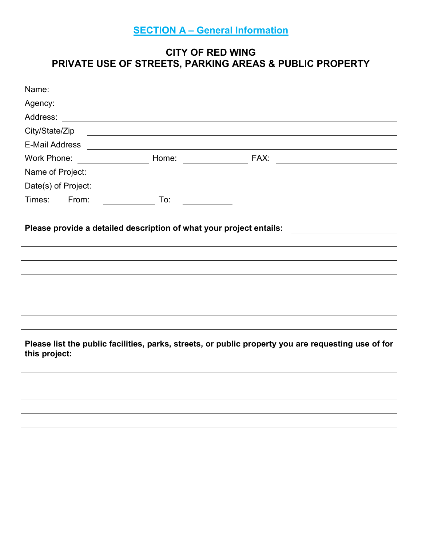# **SECTION A – General Information**

## **CITY OF RED WING PRIVATE USE OF STREETS, PARKING AREAS & PUBLIC PROPERTY**

| Name:          |       |                                                                                                                                                                                                                                      |                                                                                                     |
|----------------|-------|--------------------------------------------------------------------------------------------------------------------------------------------------------------------------------------------------------------------------------------|-----------------------------------------------------------------------------------------------------|
| Agency:        |       | <u> 1989 - Johann Barbara, martin amerikan basar dan berasal dan berasal dan berasal dari berasal dan berasal dan</u>                                                                                                                |                                                                                                     |
| Address:       |       | <u> 1989 - Johann Stoff, deutscher Stoffen und der Stoffen und der Stoffen und der Stoffen und der Stoffen und der</u>                                                                                                               |                                                                                                     |
| City/State/Zip |       | <u>some started and the started and the started and the started and the started and the started and the started and the started and the started and the started and the started and the started and the started and the started </u> |                                                                                                     |
|                |       |                                                                                                                                                                                                                                      |                                                                                                     |
| Work Phone:    |       |                                                                                                                                                                                                                                      |                                                                                                     |
|                |       |                                                                                                                                                                                                                                      |                                                                                                     |
|                |       |                                                                                                                                                                                                                                      |                                                                                                     |
| Times:         | From: | $\overline{a}$ To:                                                                                                                                                                                                                   |                                                                                                     |
|                |       |                                                                                                                                                                                                                                      | Please provide a detailed description of what your project entails: ___________________             |
|                |       |                                                                                                                                                                                                                                      |                                                                                                     |
|                |       |                                                                                                                                                                                                                                      |                                                                                                     |
|                |       |                                                                                                                                                                                                                                      |                                                                                                     |
|                |       |                                                                                                                                                                                                                                      |                                                                                                     |
| this project:  |       |                                                                                                                                                                                                                                      | Please list the public facilities, parks, streets, or public property you are requesting use of for |
|                |       |                                                                                                                                                                                                                                      |                                                                                                     |
|                |       |                                                                                                                                                                                                                                      |                                                                                                     |
|                |       |                                                                                                                                                                                                                                      |                                                                                                     |
|                |       |                                                                                                                                                                                                                                      |                                                                                                     |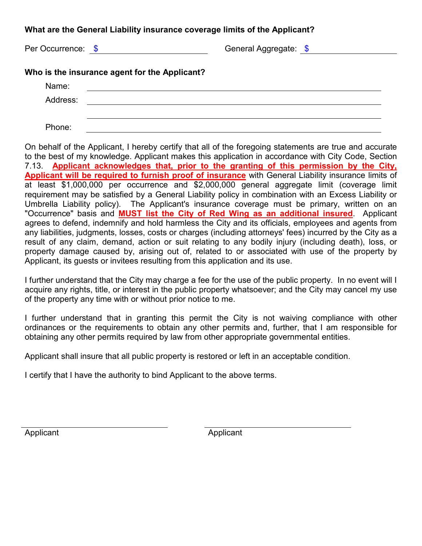## **What are the General Liability insurance coverage limits of the Applicant?**

Per Occurrence:  $\frac{6}{9}$  and the Community Ceneral Aggregate:  $\frac{6}{9}$ 

| Name:    |  |
|----------|--|
| Address: |  |
|          |  |
| Phone:   |  |

On behalf of the Applicant, I hereby certify that all of the foregoing statements are true and accurate to the best of my knowledge. Applicant makes this application in accordance with City Code, Section 7.13. **Applicant acknowledges that, prior to the granting of this permission by the City, Applicant will be required to furnish proof of insurance** with General Liability insurance limits of at least \$1,000,000 per occurrence and \$2,000,000 general aggregate limit (coverage limit requirement may be satisfied by a General Liability policy in combination with an Excess Liability or Umbrella Liability policy). The Applicant's insurance coverage must be primary, written on an "Occurrence" basis and **MUST list the City of Red Wing as an additional insured**. Applicant agrees to defend, indemnify and hold harmless the City and its officials, employees and agents from any liabilities, judgments, losses, costs or charges (including attorneys' fees) incurred by the City as a result of any claim, demand, action or suit relating to any bodily injury (including death), loss, or property damage caused by, arising out of, related to or associated with use of the property by Applicant, its guests or invitees resulting from this application and its use.

I further understand that the City may charge a fee for the use of the public property. In no event will I acquire any rights, title, or interest in the public property whatsoever; and the City may cancel my use of the property any time with or without prior notice to me.

I further understand that in granting this permit the City is not waiving compliance with other ordinances or the requirements to obtain any other permits and, further, that I am responsible for obtaining any other permits required by law from other appropriate governmental entities.

Applicant shall insure that all public property is restored or left in an acceptable condition.

I certify that I have the authority to bind Applicant to the above terms.

Applicant Applicant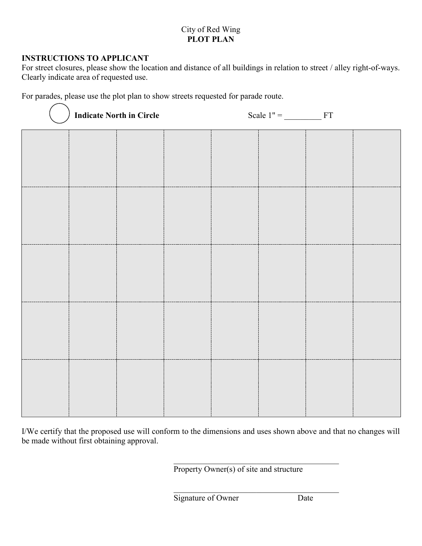### City of Red Wing **PLOT PLAN**

#### **INSTRUCTIONS TO APPLICANT**

For street closures, please show the location and distance of all buildings in relation to street / alley right-of-ways. Clearly indicate area of requested use.

For parades, please use the plot plan to show streets requested for parade route.

|  | <b>Indicate North in Circle</b> |  | Scale $1" =$ FT |  |
|--|---------------------------------|--|-----------------|--|
|  |                                 |  |                 |  |
|  |                                 |  |                 |  |
|  |                                 |  |                 |  |
|  |                                 |  |                 |  |
|  |                                 |  |                 |  |
|  |                                 |  |                 |  |
|  |                                 |  |                 |  |
|  |                                 |  |                 |  |
|  |                                 |  |                 |  |
|  |                                 |  |                 |  |

I/We certify that the proposed use will conform to the dimensions and uses shown above and that no changes will be made without first obtaining approval.

Property Owner(s) of site and structure

Signature of Owner Date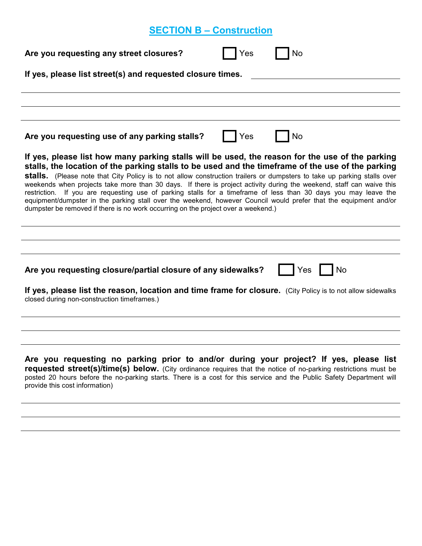# **SECTION B – Construction**

| <b>No</b><br>Are you requesting any street closures?<br>Yes                                                                                                                                                                                                                                                                                                                                                                                                                                                                                                                                                                                                                                                                                                                         |  |  |  |  |  |
|-------------------------------------------------------------------------------------------------------------------------------------------------------------------------------------------------------------------------------------------------------------------------------------------------------------------------------------------------------------------------------------------------------------------------------------------------------------------------------------------------------------------------------------------------------------------------------------------------------------------------------------------------------------------------------------------------------------------------------------------------------------------------------------|--|--|--|--|--|
| If yes, please list street(s) and requested closure times.                                                                                                                                                                                                                                                                                                                                                                                                                                                                                                                                                                                                                                                                                                                          |  |  |  |  |  |
|                                                                                                                                                                                                                                                                                                                                                                                                                                                                                                                                                                                                                                                                                                                                                                                     |  |  |  |  |  |
|                                                                                                                                                                                                                                                                                                                                                                                                                                                                                                                                                                                                                                                                                                                                                                                     |  |  |  |  |  |
| No<br>Are you requesting use of any parking stalls?<br>Yes                                                                                                                                                                                                                                                                                                                                                                                                                                                                                                                                                                                                                                                                                                                          |  |  |  |  |  |
| If yes, please list how many parking stalls will be used, the reason for the use of the parking<br>stalls, the location of the parking stalls to be used and the timeframe of the use of the parking<br>stalls. (Please note that City Policy is to not allow construction trailers or dumpsters to take up parking stalls over<br>weekends when projects take more than 30 days. If there is project activity during the weekend, staff can waive this<br>restriction. If you are requesting use of parking stalls for a timeframe of less than 30 days you may leave the<br>equipment/dumpster in the parking stall over the weekend, however Council would prefer that the equipment and/or<br>dumpster be removed if there is no work occurring on the project over a weekend.) |  |  |  |  |  |
|                                                                                                                                                                                                                                                                                                                                                                                                                                                                                                                                                                                                                                                                                                                                                                                     |  |  |  |  |  |
|                                                                                                                                                                                                                                                                                                                                                                                                                                                                                                                                                                                                                                                                                                                                                                                     |  |  |  |  |  |
| Are you requesting closure/partial closure of any sidewalks?<br><b>No</b><br>Yes                                                                                                                                                                                                                                                                                                                                                                                                                                                                                                                                                                                                                                                                                                    |  |  |  |  |  |
| If yes, please list the reason, location and time frame for closure. (City Policy is to not allow sidewalks<br>closed during non-construction timeframes.)                                                                                                                                                                                                                                                                                                                                                                                                                                                                                                                                                                                                                          |  |  |  |  |  |
|                                                                                                                                                                                                                                                                                                                                                                                                                                                                                                                                                                                                                                                                                                                                                                                     |  |  |  |  |  |
| Are you requesting no parking prior to and/or during your project? If yes, please list<br>requested street(s)/time(s) below. (City ordinance requires that the notice of no-parking restrictions must be<br>posted 20 hours before the no-parking starts. There is a cost for this service and the Public Safety Department will<br>provide this cost information)                                                                                                                                                                                                                                                                                                                                                                                                                  |  |  |  |  |  |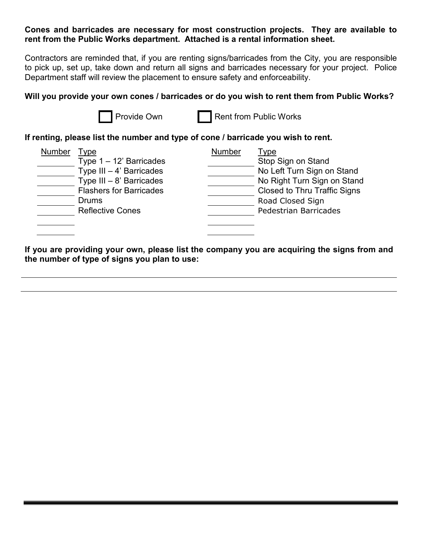#### **Cones and barricades are necessary for most construction projects. They are available to rent from the Public Works department. Attached is a rental information sheet.**

Contractors are reminded that, if you are renting signs/barricades from the City, you are responsible to pick up, set up, take down and return all signs and barricades necessary for your project. Police Department staff will review the placement to ensure safety and enforceability.

### **Will you provide your own cones / barricades or do you wish to rent them from Public Works?**

Provide Own **Rent from Public Works** 

#### **If renting, please list the number and type of cone / barricade you wish to rent.**

| Number | Type                                |
|--------|-------------------------------------|
|        | Stop Sign on Stand                  |
|        | No Left Turn Sign on Stand          |
|        | No Right Turn Sign on Stand         |
|        | <b>Closed to Thru Traffic Signs</b> |
|        | Road Closed Sign                    |
|        | Pedestrian Barricades               |
|        |                                     |
|        |                                     |
|        |                                     |

**If you are providing your own, please list the company you are acquiring the signs from and the number of type of signs you plan to use:**